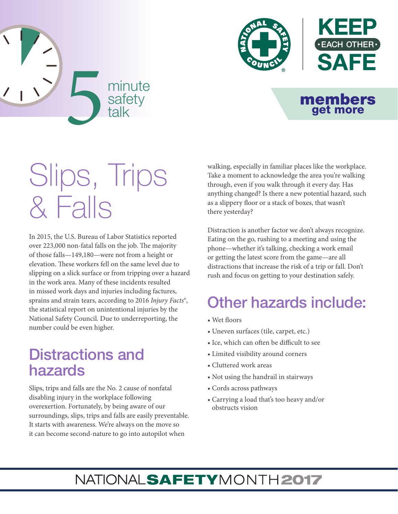



#### members get more

# Slips, Trips & Falls

In 2015, the U.S. Bureau of Labor Statistics reported over 223,000 non-fatal falls on the job. The majority of those falls—149,180—were not from a height or elevation. These workers fell on the same level due to slipping on a slick surface or from tripping over a hazard in the work area. Many of these incidents resulted in missed work days and injuries including factures, sprains and strain tears, according to 2016 *Injury Facts*®, the statistical report on unintentional injuries by the National Safety Council. Due to underreporting, the number could be even higher.

## Distractions and hazards

Slips, trips and falls are the No. 2 cause of nonfatal disabling injury in the workplace following overexertion. Fortunately, by being aware of our surroundings, slips, trips and falls are easily preventable. It starts with awareness. We're always on the move so it can become second-nature to go into autopilot when

walking, especially in familiar places like the workplace. Take a moment to acknowledge the area you're walking through, even if you walk through it every day. Has anything changed? Is there a new potential hazard, such as a slippery floor or a stack of boxes, that wasn't there yesterday?

Distraction is another factor we don't always recognize. Eating on the go, rushing to a meeting and using the phone—whether it's talking, checking a work email or getting the latest score from the game—are all distractions that increase the risk of a trip or fall. Don't rush and focus on getting to your destination safely.

## Other hazards include:

- Wet floors
- Uneven surfaces (tile, carpet, etc.)
- Ice, which can often be difficult to see
- Limited visibility around corners
- Cluttered work areas
- Not using the handrail in stairways
- Cords across pathways
- Carrying a load that's too heavy and/or obstructs vision

## NATIONALSAFETYMONTH2017